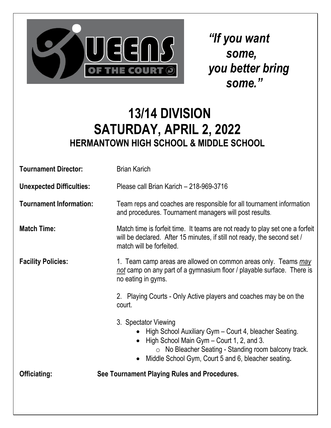

*"If you want some, you better bring some."*

#### **13/14 DIVISION SATURDAY, APRIL 2, 2022 HERMANTOWN HIGH SCHOOL & MIDDLE SCHOOL**

| <b>Tournament Director:</b>     | <b>Brian Karich</b>                                                                                                                                                                                                                              |  |
|---------------------------------|--------------------------------------------------------------------------------------------------------------------------------------------------------------------------------------------------------------------------------------------------|--|
| <b>Unexpected Difficulties:</b> | Please call Brian Karich - 218-969-3716                                                                                                                                                                                                          |  |
| <b>Tournament Information:</b>  | Team reps and coaches are responsible for all tournament information<br>and procedures. Tournament managers will post results.                                                                                                                   |  |
| <b>Match Time:</b>              | Match time is forfeit time. It teams are not ready to play set one a forfeit<br>will be declared. After 15 minutes, if still not ready, the second set /<br>match will be forfeited.                                                             |  |
| <b>Facility Policies:</b>       | 1. Team camp areas are allowed on common areas only. Teams may<br>not camp on any part of a gymnasium floor / playable surface. There is<br>no eating in gyms.<br>2. Playing Courts - Only Active players and coaches may be on the<br>court.    |  |
|                                 |                                                                                                                                                                                                                                                  |  |
|                                 | 3. Spectator Viewing<br>High School Auxiliary Gym - Court 4, bleacher Seating.<br>High School Main Gym - Court 1, 2, and 3.<br>$\circ$ No Bleacher Seating - Standing room balcony track.<br>Middle School Gym, Court 5 and 6, bleacher seating. |  |
| <b>Officiating:</b>             | See Tournament Playing Rules and Procedures.                                                                                                                                                                                                     |  |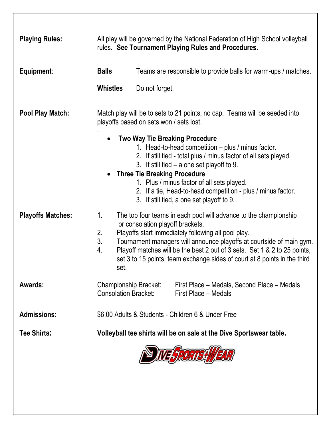| <b>Playing Rules:</b>    | All play will be governed by the National Federation of High School volleyball<br>rules. See Tournament Playing Rules and Procedures.                                                                                                                                                                                                                                                                                         |                                     |                                                                                                                                                                                                                                                                                                                                                                            |
|--------------------------|-------------------------------------------------------------------------------------------------------------------------------------------------------------------------------------------------------------------------------------------------------------------------------------------------------------------------------------------------------------------------------------------------------------------------------|-------------------------------------|----------------------------------------------------------------------------------------------------------------------------------------------------------------------------------------------------------------------------------------------------------------------------------------------------------------------------------------------------------------------------|
| Equipment:               | <b>Balls</b>                                                                                                                                                                                                                                                                                                                                                                                                                  |                                     | Teams are responsible to provide balls for warm-ups / matches.                                                                                                                                                                                                                                                                                                             |
|                          | <b>Whistles</b>                                                                                                                                                                                                                                                                                                                                                                                                               | Do not forget.                      |                                                                                                                                                                                                                                                                                                                                                                            |
| <b>Pool Play Match:</b>  | Match play will be to sets to 21 points, no cap. Teams will be seeded into<br>playoffs based on sets won / sets lost.                                                                                                                                                                                                                                                                                                         |                                     |                                                                                                                                                                                                                                                                                                                                                                            |
|                          |                                                                                                                                                                                                                                                                                                                                                                                                                               | <b>Three Tie Breaking Procedure</b> | <b>Two Way Tie Breaking Procedure</b><br>1. Head-to-head competition - plus / minus factor.<br>2. If still tied - total plus / minus factor of all sets played.<br>3. If still tied $-$ a one set playoff to 9.<br>1. Plus / minus factor of all sets played.<br>2. If a tie, Head-to-head competition - plus / minus factor.<br>3. If still tied, a one set playoff to 9. |
| <b>Playoffs Matches:</b> | 1.<br>The top four teams in each pool will advance to the championship<br>or consolation playoff brackets.<br>2.<br>Playoffs start immediately following all pool play.<br>3.<br>Tournament managers will announce playoffs at courtside of main gym.<br>4.<br>Playoff matches will be the best 2 out of 3 sets. Set 1 & 2 to 25 points,<br>set 3 to 15 points, team exchange sides of court at 8 points in the third<br>set. |                                     |                                                                                                                                                                                                                                                                                                                                                                            |
| Awards:                  | <b>Championship Bracket:</b><br><b>Consolation Bracket:</b>                                                                                                                                                                                                                                                                                                                                                                   |                                     | First Place - Medals, Second Place - Medals<br>First Place - Medals                                                                                                                                                                                                                                                                                                        |
| <b>Admissions:</b>       | \$6.00 Adults & Students - Children 6 & Under Free                                                                                                                                                                                                                                                                                                                                                                            |                                     |                                                                                                                                                                                                                                                                                                                                                                            |
| <b>Tee Shirts:</b>       | Volleyball tee shirts will be on sale at the Dive Sportswear table.                                                                                                                                                                                                                                                                                                                                                           |                                     |                                                                                                                                                                                                                                                                                                                                                                            |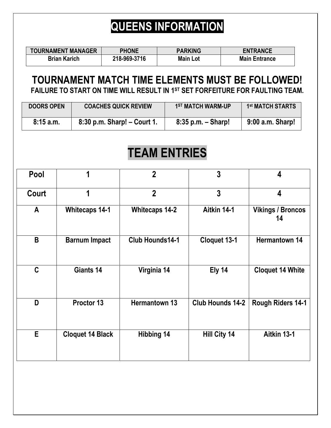### **QUEENS INFORMATION**

| <b>TOURNAMENT MANAGER</b> | <b>PHONE</b> | <b>PARKING</b>  | <b>ENTRANCE</b>      |
|---------------------------|--------------|-----------------|----------------------|
| <b>Brian Karich</b>       | 218-969-3716 | <b>Main Lot</b> | <b>Main Entrance</b> |

#### **TOURNAMENT MATCH TIME ELEMENTS MUST BE FOLLOWED! FAILURE TO START ON TIME WILL RESULT IN 1ST SET FORFEITURE FOR FAULTING TEAM.**

| <b>DOORS OPEN</b> | <b>COACHES QUICK REVIEW</b>     | 1 <sup>ST</sup> MATCH WARM-UP | 1 <sup>st</sup> MATCH STARTS |
|-------------------|---------------------------------|-------------------------------|------------------------------|
| 8:15a.m.          | $8:30$ p.m. Sharp! $-$ Court 1. | $8:35$ p.m. $-$ Sharp!        | 9:00 a.m. Sharp!             |

## **TEAM ENTRIES**

| Pool         | 1                       | $\overline{2}$        | $\mathbf{3}$            | 4                              |
|--------------|-------------------------|-----------------------|-------------------------|--------------------------------|
| Court        | 1                       | $\overline{2}$        | $\overline{3}$          | 4                              |
| $\mathsf{A}$ | <b>Whitecaps 14-1</b>   | <b>Whitecaps 14-2</b> | Aitkin 14-1             | <b>Vikings / Broncos</b><br>14 |
| B            | <b>Barnum Impact</b>    | Club Hounds14-1       | Cloquet 13-1            | <b>Hermantown 14</b>           |
| $\mathbf C$  | Giants 14               | Virginia 14           | Ely 14                  | <b>Cloquet 14 White</b>        |
| D            | Proctor 13              | <b>Hermantown 13</b>  | <b>Club Hounds 14-2</b> | <b>Rough Riders 14-1</b>       |
| E            | <b>Cloquet 14 Black</b> | <b>Hibbing 14</b>     | <b>Hill City 14</b>     | Aitkin 13-1                    |